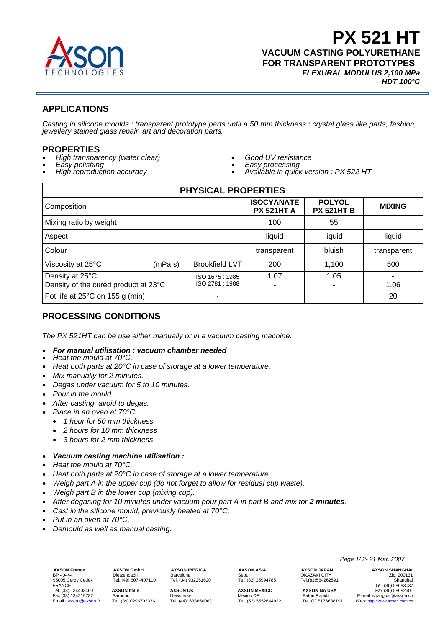

# **APPLICATIONS**

*Casting in silicone moulds : transparent prototype parts until a 50 mm thickness : crystal glass like parts, fashion, jewellery stained glass repair, art and decoration parts.* 

### **PROPERTIES**

- *High transparency (water clear) Easy polishing High reproduction accuracy*
- 
- 
- 
- *Good UV resistance Easy processing Available in quick version : PX 522 HT*

| <b>PHYSICAL PROPERTIES</b>                              |                                   |                                        |                                    |               |  |  |  |
|---------------------------------------------------------|-----------------------------------|----------------------------------------|------------------------------------|---------------|--|--|--|
| Composition                                             |                                   | <b>ISOCYANATE</b><br><b>PX 521HT A</b> | <b>POLYOL</b><br><b>PX 521HT B</b> | <b>MIXING</b> |  |  |  |
| Mixing ratio by weight                                  |                                   | 100                                    | 55                                 |               |  |  |  |
| Aspect                                                  |                                   | liquid                                 | liquid                             | liquid        |  |  |  |
| Colour                                                  |                                   | transparent                            | bluish                             | transparent   |  |  |  |
| Viscosity at 25°C<br>(mPa.s)                            | <b>Brookfield LVT</b>             | 200                                    | 1,100                              | 500           |  |  |  |
| Density at 25°C<br>Density of the cured product at 23°C | ISO 1675: 1985<br>ISO 2781 : 1988 | 1.07                                   | 1.05                               | 1.06          |  |  |  |
| Pot life at $25^{\circ}$ C on 155 g (min)               |                                   |                                        |                                    | 20            |  |  |  |

# **PROCESSING CONDITIONS**

*The PX 521HT can be use either manually or in a vacuum casting machine.* 

- *For manual utilisation : vacuum chamber needed Heat the mould at 70°C.*
- 
- *Heat both parts at 20°C in case of storage at a lower temperature.*
- *Mix manually for 2 minutes.*
- *Degas under vacuum for 5 to 10 minutes.*
- *Pour in the mould.*
- *After casting, avoid to degas.*
- *Place in an oven at 70°C.* 
	- *1 hour for 50 mm thickness*
	- *2 hours for 10 mm thickness*
	- *3 hours for 2 mm thickness*

#### • *Vacuum casting machine utilisation :*

- *Heat the mould at 70°C.*
- *Heat both parts at 20°C in case of storage at a lower temperature.*
- *Weigh part A in the upper cup (do not forget to allow for residual cup waste).*
- *Weigh part B in the lower cup (mixing cup).*
- *After degasing for 10 minutes under vacuum pour part A in part B and mix for 2 minutes.*
- *Cast in the silicone mould, previously heated at 70°C.*
- *Put in an oven at 70°C.*
- *Demould as well as manual casting.*

**AXSON France AXSON GmbH AXSON IBERICA AXSON ASIA AXSON JAPAN AXSON SHANGHAI**<br>BP 40444 Dietzenbach Barcelona Seoul OKAZAKI CITY ORAZARI Zip: 200131<br>95005 Cergy Cedex Tel. (49) 6074407110 Tel. (34) 932251620 Tel. (82) 25994 BP 40444 Dietzenbach Barcelona Seoul OKAZAKI CITY Zip: 200131 CHE DISCONSICING CHE DISCONSICION CHE DISCONSICION CHE DISCONSICION CHE DISCONSICION CHE DISCONSICION CHE DISCON<br>FRANCE Tel. (34) 932251620 Tel. (82) 25994785 Tel. (81)564262591 Tel. (86) 58683037<br>Tel. (33) 134403460 **AXS** FRANCE Tel. (86) 58683037 Tel. (33) 134403460 **AXSON Italie AXSON UK AXSON MEXICO AXSON NA USA** Fax.(86) 58682601 Fax (33) 134219787 Saronno Mewmarket Mexico DF Mexico DF Eaton Rapids E-mail: shanghai@axson.cn<br>Email: <u>axson@axson.fr</u> Tel. (39) 0296702336 Tel. (44)1638660062 Tel. (52) 5552644922 Tel. (1) 5176638191 Web: <u>http://www.axs</u> Web: http://www.axson.com.cn

 *Page 1/ 2- 21 Mar. 2007*